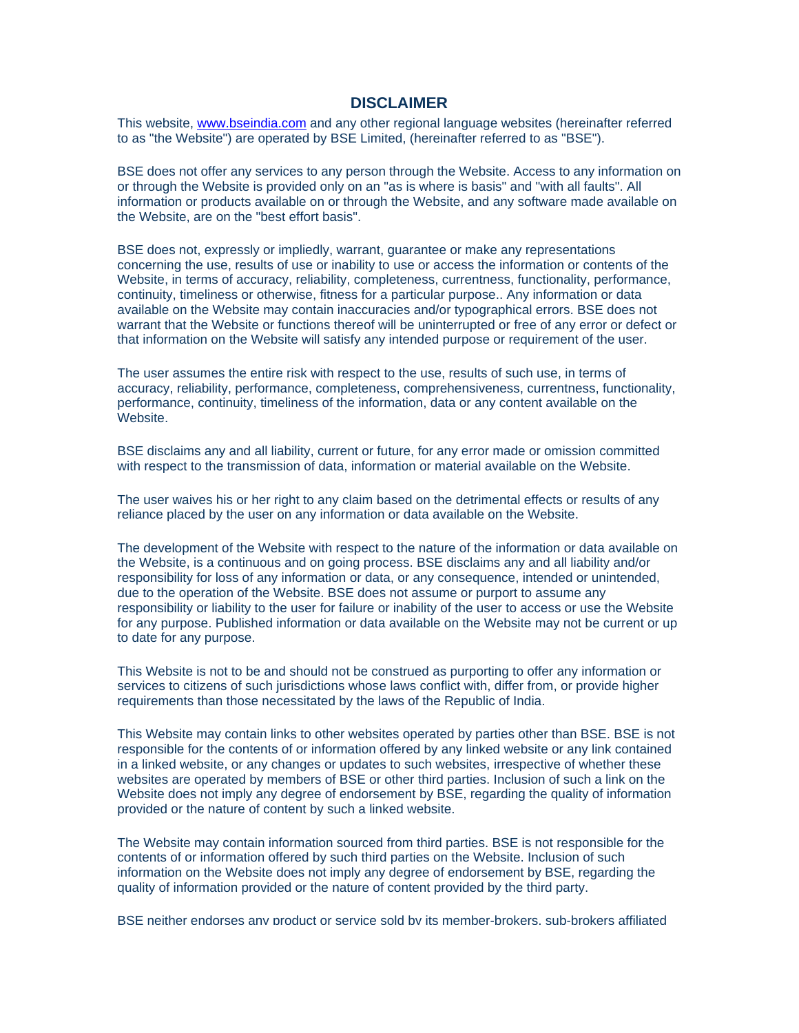## **DISCLAIMER**

This website, [www.bseindia.com](http://www.bseindia.com/) and any other regional language websites (hereinafter referred to as "the Website") are operated by BSE Limited, (hereinafter referred to as "BSE").

BSE does not offer any services to any person through the Website. Access to any information on or through the Website is provided only on an "as is where is basis" and "with all faults". All information or products available on or through the Website, and any software made available on the Website, are on the "best effort basis".

BSE does not, expressly or impliedly, warrant, guarantee or make any representations concerning the use, results of use or inability to use or access the information or contents of the Website, in terms of accuracy, reliability, completeness, currentness, functionality, performance, continuity, timeliness or otherwise, fitness for a particular purpose.. Any information or data available on the Website may contain inaccuracies and/or typographical errors. BSE does not warrant that the Website or functions thereof will be uninterrupted or free of any error or defect or that information on the Website will satisfy any intended purpose or requirement of the user.

The user assumes the entire risk with respect to the use, results of such use, in terms of accuracy, reliability, performance, completeness, comprehensiveness, currentness, functionality, performance, continuity, timeliness of the information, data or any content available on the Website.

BSE disclaims any and all liability, current or future, for any error made or omission committed with respect to the transmission of data, information or material available on the Website.

The user waives his or her right to any claim based on the detrimental effects or results of any reliance placed by the user on any information or data available on the Website.

The development of the Website with respect to the nature of the information or data available on the Website, is a continuous and on going process. BSE disclaims any and all liability and/or responsibility for loss of any information or data, or any consequence, intended or unintended, due to the operation of the Website. BSE does not assume or purport to assume any responsibility or liability to the user for failure or inability of the user to access or use the Website for any purpose. Published information or data available on the Website may not be current or up to date for any purpose.

This Website is not to be and should not be construed as purporting to offer any information or services to citizens of such jurisdictions whose laws conflict with, differ from, or provide higher requirements than those necessitated by the laws of the Republic of India.

This Website may contain links to other websites operated by parties other than BSE. BSE is not responsible for the contents of or information offered by any linked website or any link contained in a linked website, or any changes or updates to such websites, irrespective of whether these websites are operated by members of BSE or other third parties. Inclusion of such a link on the Website does not imply any degree of endorsement by BSE, regarding the quality of information provided or the nature of content by such a linked website.

The Website may contain information sourced from third parties. BSE is not responsible for the contents of or information offered by such third parties on the Website. Inclusion of such information on the Website does not imply any degree of endorsement by BSE, regarding the quality of information provided or the nature of content provided by the third party.

BSE neither endorses any product or service sold by its member-brokers, sub-brokers affiliated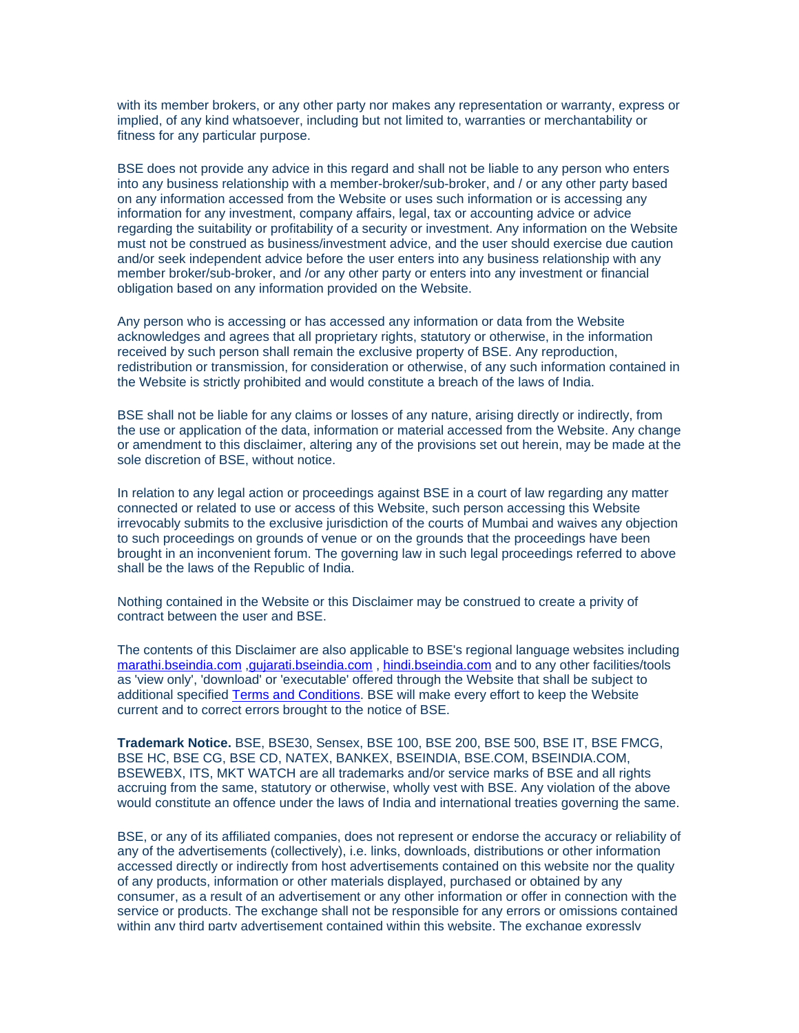with its member brokers, or any other party nor makes any representation or warranty, express or implied, of any kind whatsoever, including but not limited to, warranties or merchantability or fitness for any particular purpose.

BSE does not provide any advice in this regard and shall not be liable to any person who enters into any business relationship with a member-broker/sub-broker, and / or any other party based on any information accessed from the Website or uses such information or is accessing any information for any investment, company affairs, legal, tax or accounting advice or advice regarding the suitability or profitability of a security or investment. Any information on the Website must not be construed as business/investment advice, and the user should exercise due caution and/or seek independent advice before the user enters into any business relationship with any member broker/sub-broker, and /or any other party or enters into any investment or financial obligation based on any information provided on the Website.

Any person who is accessing or has accessed any information or data from the Website acknowledges and agrees that all proprietary rights, statutory or otherwise, in the information received by such person shall remain the exclusive property of BSE. Any reproduction, redistribution or transmission, for consideration or otherwise, of any such information contained in the Website is strictly prohibited and would constitute a breach of the laws of India.

BSE shall not be liable for any claims or losses of any nature, arising directly or indirectly, from the use or application of the data, information or material accessed from the Website. Any change or amendment to this disclaimer, altering any of the provisions set out herein, may be made at the sole discretion of BSE, without notice.

In relation to any legal action or proceedings against BSE in a court of law regarding any matter connected or related to use or access of this Website, such person accessing this Website irrevocably submits to the exclusive jurisdiction of the courts of Mumbai and waives any objection to such proceedings on grounds of venue or on the grounds that the proceedings have been brought in an inconvenient forum. The governing law in such legal proceedings referred to above shall be the laws of the Republic of India.

Nothing contained in the Website or this Disclaimer may be construed to create a privity of contract between the user and BSE.

The contents of this Disclaimer are also applicable to BSE's regional language websites including [marathi.bseindia.com](http://marathi.bseindia.com/) ,[gujarati.bseindia.com](http://gujarati.bseindia.com/) , [hindi.bseindia.com](http://hindi.bseindia.com/) and to any other facilities/tools as 'view only', 'download' or 'executable' offered through the Website that shall be subject to additional specified [Terms and Conditions](http://www.bseindia.com/Terms_condition.asp). BSE will make every effort to keep the Website current and to correct errors brought to the notice of BSE.

**Trademark Notice.** BSE, BSE30, Sensex, BSE 100, BSE 200, BSE 500, BSE IT, BSE FMCG, BSE HC, BSE CG, BSE CD, NATEX, BANKEX, BSEINDIA, BSE.COM, BSEINDIA.COM, BSEWEBX, ITS, MKT WATCH are all trademarks and/or service marks of BSE and all rights accruing from the same, statutory or otherwise, wholly vest with BSE. Any violation of the above would constitute an offence under the laws of India and international treaties governing the same.

BSE, or any of its affiliated companies, does not represent or endorse the accuracy or reliability of any of the advertisements (collectively), i.e. links, downloads, distributions or other information accessed directly or indirectly from host advertisements contained on this website nor the quality of any products, information or other materials displayed, purchased or obtained by any consumer, as a result of an advertisement or any other information or offer in connection with the service or products. The exchange shall not be responsible for any errors or omissions contained within any third party advertisement contained within this website. The exchange expressly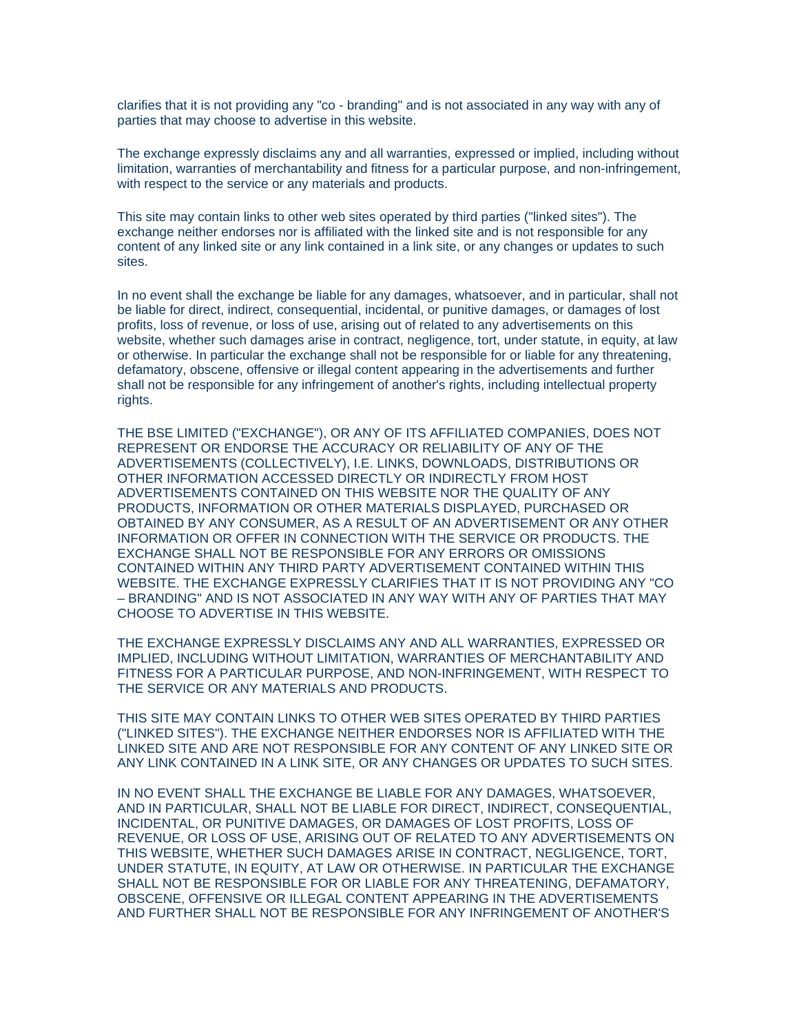clarifies that it is not providing any "co - branding" and is not associated in any way with any of parties that may choose to advertise in this website.

The exchange expressly disclaims any and all warranties, expressed or implied, including without limitation, warranties of merchantability and fitness for a particular purpose, and non-infringement, with respect to the service or any materials and products.

This site may contain links to other web sites operated by third parties ("linked sites"). The exchange neither endorses nor is affiliated with the linked site and is not responsible for any content of any linked site or any link contained in a link site, or any changes or updates to such sites.

In no event shall the exchange be liable for any damages, whatsoever, and in particular, shall not be liable for direct, indirect, consequential, incidental, or punitive damages, or damages of lost profits, loss of revenue, or loss of use, arising out of related to any advertisements on this website, whether such damages arise in contract, negligence, tort, under statute, in equity, at law or otherwise. In particular the exchange shall not be responsible for or liable for any threatening, defamatory, obscene, offensive or illegal content appearing in the advertisements and further shall not be responsible for any infringement of another's rights, including intellectual property rights.

THE BSE LIMITED ("EXCHANGE"), OR ANY OF ITS AFFILIATED COMPANIES, DOES NOT REPRESENT OR ENDORSE THE ACCURACY OR RELIABILITY OF ANY OF THE ADVERTISEMENTS (COLLECTIVELY), I.E. LINKS, DOWNLOADS, DISTRIBUTIONS OR OTHER INFORMATION ACCESSED DIRECTLY OR INDIRECTLY FROM HOST ADVERTISEMENTS CONTAINED ON THIS WEBSITE NOR THE QUALITY OF ANY PRODUCTS, INFORMATION OR OTHER MATERIALS DISPLAYED, PURCHASED OR OBTAINED BY ANY CONSUMER, AS A RESULT OF AN ADVERTISEMENT OR ANY OTHER INFORMATION OR OFFER IN CONNECTION WITH THE SERVICE OR PRODUCTS. THE EXCHANGE SHALL NOT BE RESPONSIBLE FOR ANY ERRORS OR OMISSIONS CONTAINED WITHIN ANY THIRD PARTY ADVERTISEMENT CONTAINED WITHIN THIS WEBSITE. THE EXCHANGE EXPRESSLY CLARIFIES THAT IT IS NOT PROVIDING ANY "CO – BRANDING" AND IS NOT ASSOCIATED IN ANY WAY WITH ANY OF PARTIES THAT MAY CHOOSE TO ADVERTISE IN THIS WEBSITE.

THE EXCHANGE EXPRESSLY DISCLAIMS ANY AND ALL WARRANTIES, EXPRESSED OR IMPLIED, INCLUDING WITHOUT LIMITATION, WARRANTIES OF MERCHANTABILITY AND FITNESS FOR A PARTICULAR PURPOSE, AND NON-INFRINGEMENT, WITH RESPECT TO THE SERVICE OR ANY MATERIALS AND PRODUCTS.

THIS SITE MAY CONTAIN LINKS TO OTHER WEB SITES OPERATED BY THIRD PARTIES ("LINKED SITES"). THE EXCHANGE NEITHER ENDORSES NOR IS AFFILIATED WITH THE LINKED SITE AND ARE NOT RESPONSIBLE FOR ANY CONTENT OF ANY LINKED SITE OR ANY LINK CONTAINED IN A LINK SITE, OR ANY CHANGES OR UPDATES TO SUCH SITES.

IN NO EVENT SHALL THE EXCHANGE BE LIABLE FOR ANY DAMAGES, WHATSOEVER, AND IN PARTICULAR, SHALL NOT BE LIABLE FOR DIRECT, INDIRECT, CONSEQUENTIAL, INCIDENTAL, OR PUNITIVE DAMAGES, OR DAMAGES OF LOST PROFITS, LOSS OF REVENUE, OR LOSS OF USE, ARISING OUT OF RELATED TO ANY ADVERTISEMENTS ON THIS WEBSITE, WHETHER SUCH DAMAGES ARISE IN CONTRACT, NEGLIGENCE, TORT, UNDER STATUTE, IN EQUITY, AT LAW OR OTHERWISE. IN PARTICULAR THE EXCHANGE SHALL NOT BE RESPONSIBLE FOR OR LIABLE FOR ANY THREATENING, DEFAMATORY, OBSCENE, OFFENSIVE OR ILLEGAL CONTENT APPEARING IN THE ADVERTISEMENTS AND FURTHER SHALL NOT BE RESPONSIBLE FOR ANY INFRINGEMENT OF ANOTHER'S